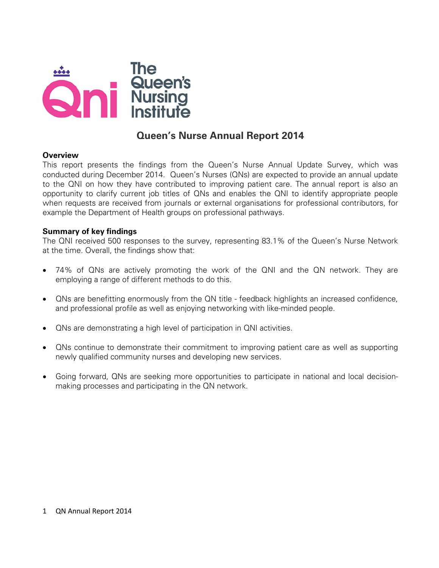

# **Queen's Nurse Annual Report 2014**

### **Overview**

This report presents the findings from the Queen's Nurse Annual Update Survey, which was conducted during December 2014. Queen's Nurses (QNs) are expected to provide an annual update to the QNI on how they have contributed to improving patient care. The annual report is also an opportunity to clarify current job titles of QNs and enables the QNI to identify appropriate people when requests are received from journals or external organisations for professional contributors, for example the Department of Health groups on professional pathways.

#### **Summary of key findings**

The QNI received 500 responses to the survey, representing 83.1% of the Queen's Nurse Network at the time. Overall, the findings show that:

- 74% of QNs are actively promoting the work of the QNI and the QN network. They are employing a range of different methods to do this.
- QNs are benefitting enormously from the QN title feedback highlights an increased confidence, and professional profile as well as enjoying networking with like-minded people.
- QNs are demonstrating a high level of participation in QNI activities.
- QNs continue to demonstrate their commitment to improving patient care as well as supporting newly qualified community nurses and developing new services.
- Going forward, QNs are seeking more opportunities to participate in national and local decisionmaking processes and participating in the QN network.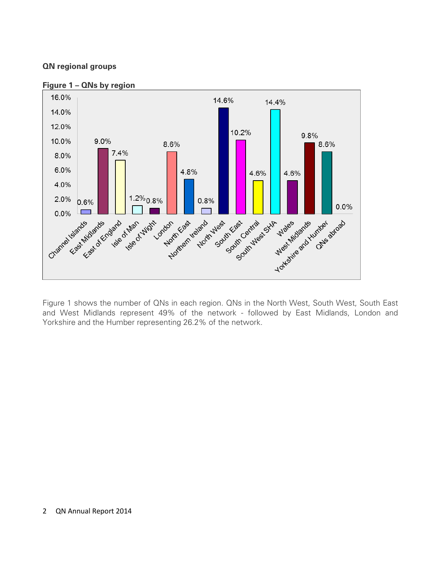### **QN regional groups**



**Figure 1 – QNs by region** 

Figure 1 shows the number of QNs in each region. QNs in the North West, South West, South East and West Midlands represent 49% of the network - followed by East Midlands, London and Yorkshire and the Humber representing 26.2% of the network.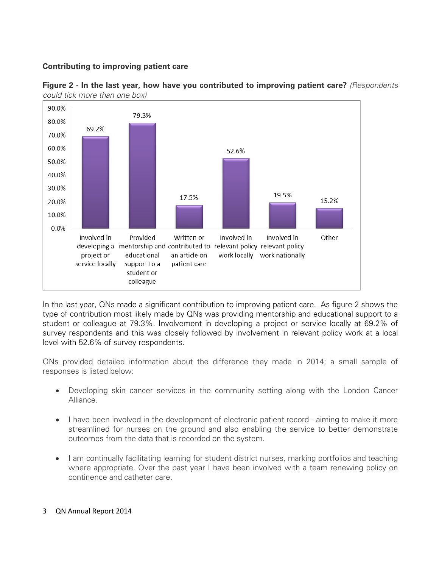### **Contributing to improving patient care**





In the last year, QNs made a significant contribution to improving patient care. As figure 2 shows the type of contribution most likely made by QNs was providing mentorship and educational support to a student or colleague at 79.3%. Involvement in developing a project or service locally at 69.2% of survey respondents and this was closely followed by involvement in relevant policy work at a local level with 52.6% of survey respondents.

QNs provided detailed information about the difference they made in 2014; a small sample of responses is listed below:

- Developing skin cancer services in the community setting along with the London Cancer Alliance.
- I have been involved in the development of electronic patient record aiming to make it more streamlined for nurses on the ground and also enabling the service to better demonstrate outcomes from the data that is recorded on the system.
- I am continually facilitating learning for student district nurses, marking portfolios and teaching where appropriate. Over the past year I have been involved with a team renewing policy on continence and catheter care.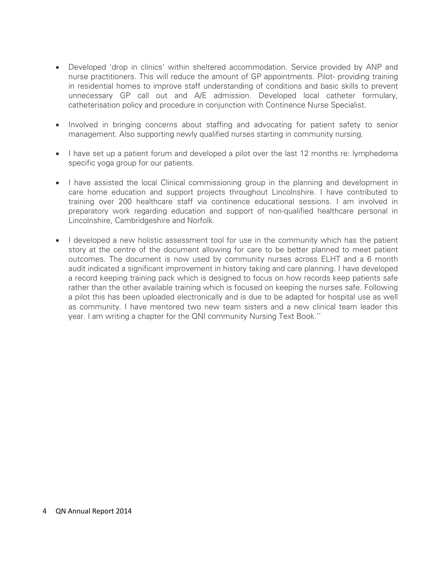- Developed 'drop in clinics' within sheltered accommodation. Service provided by ANP and nurse practitioners. This will reduce the amount of GP appointments. Pilot- providing training in residential homes to improve staff understanding of conditions and basic skills to prevent unnecessary GP call out and A/E admission. Developed local catheter formulary, catheterisation policy and procedure in conjunction with Continence Nurse Specialist.
- Involved in bringing concerns about staffing and advocating for patient safety to senior management. Also supporting newly qualified nurses starting in community nursing.
- I have set up a patient forum and developed a pilot over the last 12 months re: lymphedema specific yoga group for our patients.
- I have assisted the local Clinical commissioning group in the planning and development in care home education and support projects throughout Lincolnshire. I have contributed to training over 200 healthcare staff via continence educational sessions. I am involved in preparatory work regarding education and support of non-qualified healthcare personal in Lincolnshire, Cambridgeshire and Norfolk.
- I developed a new holistic assessment tool for use in the community which has the patient story at the centre of the document allowing for care to be better planned to meet patient outcomes. The document is now used by community nurses across ELHT and a 6 month audit indicated a significant improvement in history taking and care planning. I have developed a record keeping training pack which is designed to focus on how records keep patients safe rather than the other available training which is focused on keeping the nurses safe. Following a pilot this has been uploaded electronically and is due to be adapted for hospital use as well as community. I have mentored two new team sisters and a new clinical team leader this year. I am writing a chapter for the QNI community Nursing Text Book.''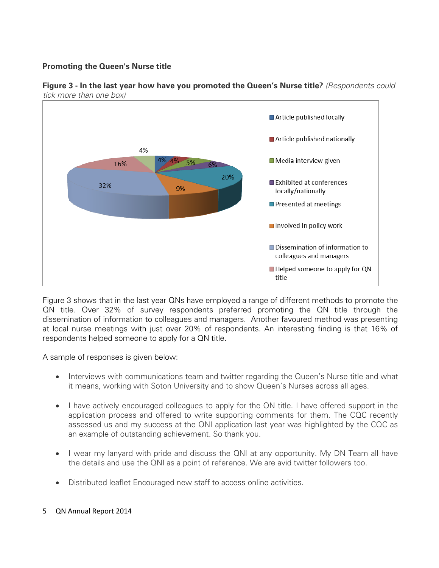# **Promoting the Queen's Nurse title**



**Figure 3 - In the last year how have you promoted the Queen's Nurse title?** *(Respondents could tick more than one box)*

Figure 3 shows that in the last year QNs have employed a range of different methods to promote the QN title. Over 32% of survey respondents preferred promoting the QN title through the dissemination of information to colleagues and managers. Another favoured method was presenting at local nurse meetings with just over 20% of respondents. An interesting finding is that 16% of respondents helped someone to apply for a QN title.

A sample of responses is given below:

- Interviews with communications team and twitter regarding the Queen's Nurse title and what it means, working with Soton University and to show Queen's Nurses across all ages.
- I have actively encouraged colleagues to apply for the QN title. I have offered support in the application process and offered to write supporting comments for them. The CQC recently assessed us and my success at the QNI application last year was highlighted by the CQC as an example of outstanding achievement. So thank you.
- I wear my lanyard with pride and discuss the QNI at any opportunity. My DN Team all have the details and use the QNI as a point of reference. We are avid twitter followers too.
- Distributed leaflet Encouraged new staff to access online activities.
- 5 QN Annual Report 2014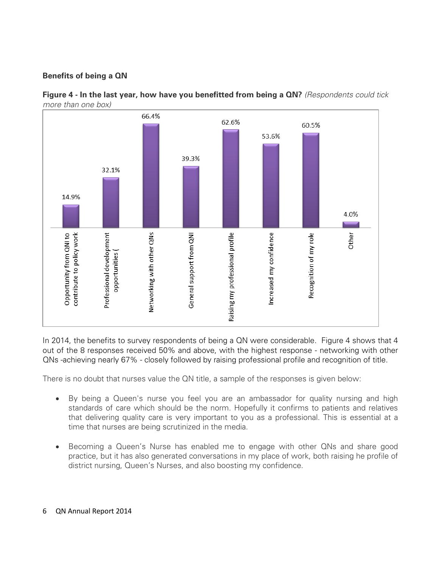# **Benefits of being a QN**



**Figure 4 - In the last year, how have you benefitted from being a QN?** *(Respondents could tick more than one box)*

In 2014, the benefits to survey respondents of being a QN were considerable. Figure 4 shows that 4 out of the 8 responses received 50% and above, with the highest response - networking with other QNs -achieving nearly 67% - closely followed by raising professional profile and recognition of title.

There is no doubt that nurses value the QN title, a sample of the responses is given below:

- By being a Queen's nurse you feel you are an ambassador for quality nursing and high standards of care which should be the norm. Hopefully it confirms to patients and relatives that delivering quality care is very important to you as a professional. This is essential at a time that nurses are being scrutinized in the media.
- Becoming a Queen's Nurse has enabled me to engage with other QNs and share good practice, but it has also generated conversations in my place of work, both raising he profile of district nursing, Queen's Nurses, and also boosting my confidence.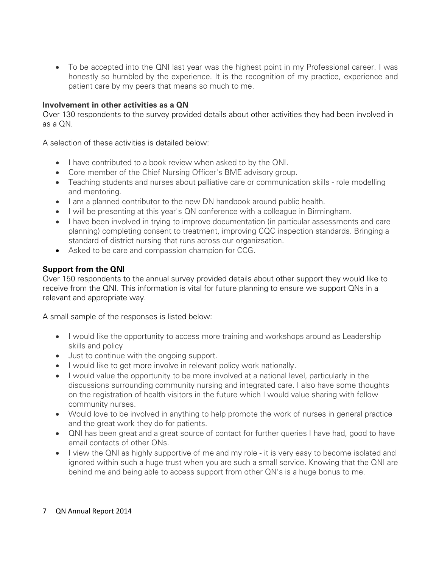• To be accepted into the QNI last year was the highest point in my Professional career. I was honestly so humbled by the experience. It is the recognition of my practice, experience and patient care by my peers that means so much to me.

# **Involvement in other activities as a QN**

Over 130 respondents to the survey provided details about other activities they had been involved in as a QN.

A selection of these activities is detailed below:

- I have contributed to a book review when asked to by the QNI.
- Core member of the Chief Nursing Officer's BME advisory group.
- Teaching students and nurses about palliative care or communication skills role modelling and mentoring.
- I am a planned contributor to the new DN handbook around public health.
- I will be presenting at this year's QN conference with a colleague in Birmingham.
- I have been involved in trying to improve documentation (in particular assessments and care planning) completing consent to treatment, improving CQC inspection standards. Bringing a standard of district nursing that runs across our organizsation.
- Asked to be care and compassion champion for CCG.

# **Support from the QNI**

Over 150 respondents to the annual survey provided details about other support they would like to receive from the QNI. This information is vital for future planning to ensure we support QNs in a relevant and appropriate way.

A small sample of the responses is listed below:

- I would like the opportunity to access more training and workshops around as Leadership skills and policy
- Just to continue with the ongoing support.
- I would like to get more involve in relevant policy work nationally.
- I would value the opportunity to be more involved at a national level, particularly in the discussions surrounding community nursing and integrated care. I also have some thoughts on the registration of health visitors in the future which I would value sharing with fellow community nurses.
- Would love to be involved in anything to help promote the work of nurses in general practice and the great work they do for patients.
- QNI has been great and a great source of contact for further queries I have had, good to have email contacts of other QNs.
- I view the QNI as highly supportive of me and my role it is very easy to become isolated and ignored within such a huge trust when you are such a small service. Knowing that the QNI are behind me and being able to access support from other QN's is a huge bonus to me.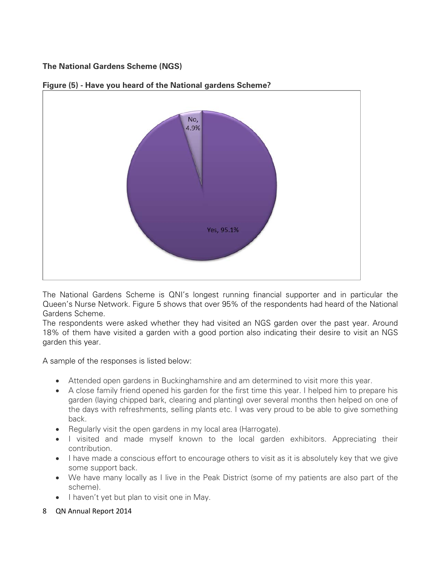# **The National Gardens Scheme (NGS)**



### **Figure (5) - Have you heard of the National gardens Scheme?**

The National Gardens Scheme is QNI's longest running financial supporter and in particular the Queen's Nurse Network. Figure 5 shows that over 95% of the respondents had heard of the National Gardens Scheme.

The respondents were asked whether they had visited an NGS garden over the past year. Around 18% of them have visited a garden with a good portion also indicating their desire to visit an NGS garden this year.

A sample of the responses is listed below:

- Attended open gardens in Buckinghamshire and am determined to visit more this year.
- A close family friend opened his garden for the first time this year. I helped him to prepare his garden (laying chipped bark, clearing and planting) over several months then helped on one of the days with refreshments, selling plants etc. I was very proud to be able to give something back.
- Regularly visit the open gardens in my local area (Harrogate).
- I visited and made myself known to the local garden exhibitors. Appreciating their contribution.
- I have made a conscious effort to encourage others to visit as it is absolutely key that we give some support back.
- We have many locally as I live in the Peak District (some of my patients are also part of the scheme).
- I haven't yet but plan to visit one in May.
- 8 QN Annual Report 2014